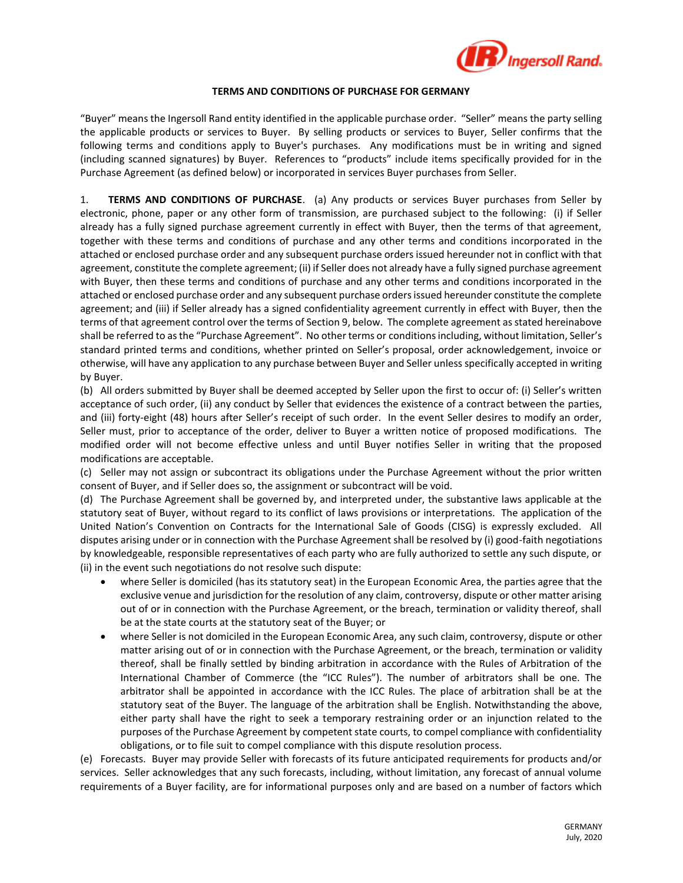

## **TERMS AND CONDITIONS OF PURCHASE FOR GERMANY**

"Buyer" means the Ingersoll Rand entity identified in the applicable purchase order. "Seller" means the party selling the applicable products or services to Buyer. By selling products or services to Buyer, Seller confirms that the following terms and conditions apply to Buyer's purchases. Any modifications must be in writing and signed (including scanned signatures) by Buyer. References to "products" include items specifically provided for in the Purchase Agreement (as defined below) or incorporated in services Buyer purchases from Seller.

1. **TERMS AND CONDITIONS OF PURCHASE**. (a) Any products or services Buyer purchases from Seller by electronic, phone, paper or any other form of transmission, are purchased subject to the following: (i) if Seller already has a fully signed purchase agreement currently in effect with Buyer, then the terms of that agreement, together with these terms and conditions of purchase and any other terms and conditions incorporated in the attached or enclosed purchase order and any subsequent purchase orders issued hereunder not in conflict with that agreement, constitute the complete agreement; (ii) if Seller does not already have a fully signed purchase agreement with Buyer, then these terms and conditions of purchase and any other terms and conditions incorporated in the attached or enclosed purchase order and any subsequent purchase orders issued hereunder constitute the complete agreement; and (iii) if Seller already has a signed confidentiality agreement currently in effect with Buyer, then the terms of that agreement control over the terms of Section 9, below. The complete agreement as stated hereinabove shall be referred to as the "Purchase Agreement". No other terms or conditions including, without limitation, Seller's standard printed terms and conditions, whether printed on Seller's proposal, order acknowledgement, invoice or otherwise, will have any application to any purchase between Buyer and Seller unless specifically accepted in writing by Buyer.

(b) All orders submitted by Buyer shall be deemed accepted by Seller upon the first to occur of: (i) Seller's written acceptance of such order, (ii) any conduct by Seller that evidences the existence of a contract between the parties, and (iii) forty-eight (48) hours after Seller's receipt of such order. In the event Seller desires to modify an order, Seller must, prior to acceptance of the order, deliver to Buyer a written notice of proposed modifications. The modified order will not become effective unless and until Buyer notifies Seller in writing that the proposed modifications are acceptable.

(c) Seller may not assign or subcontract its obligations under the Purchase Agreement without the prior written consent of Buyer, and if Seller does so, the assignment or subcontract will be void.

(d) The Purchase Agreement shall be governed by, and interpreted under, the substantive laws applicable at the statutory seat of Buyer, without regard to its conflict of laws provisions or interpretations. The application of the United Nation's Convention on Contracts for the International Sale of Goods (CISG) is expressly excluded. All disputes arising under or in connection with the Purchase Agreement shall be resolved by (i) good-faith negotiations by knowledgeable, responsible representatives of each party who are fully authorized to settle any such dispute, or (ii) in the event such negotiations do not resolve such dispute:

- where Seller is domiciled (has its statutory seat) in the European Economic Area, the parties agree that the exclusive venue and jurisdiction for the resolution of any claim, controversy, dispute or other matter arising out of or in connection with the Purchase Agreement, or the breach, termination or validity thereof, shall be at the state courts at the statutory seat of the Buyer; or
- where Seller is not domiciled in the European Economic Area, any such claim, controversy, dispute or other matter arising out of or in connection with the Purchase Agreement, or the breach, termination or validity thereof, shall be finally settled by binding arbitration in accordance with the Rules of Arbitration of the International Chamber of Commerce (the "ICC Rules"). The number of arbitrators shall be one. The arbitrator shall be appointed in accordance with the ICC Rules. The place of arbitration shall be at the statutory seat of the Buyer. The language of the arbitration shall be English. Notwithstanding the above, either party shall have the right to seek a temporary restraining order or an injunction related to the purposes of the Purchase Agreement by competent state courts, to compel compliance with confidentiality obligations, or to file suit to compel compliance with this dispute resolution process.

(e) Forecasts. Buyer may provide Seller with forecasts of its future anticipated requirements for products and/or services. Seller acknowledges that any such forecasts, including, without limitation, any forecast of annual volume requirements of a Buyer facility, are for informational purposes only and are based on a number of factors which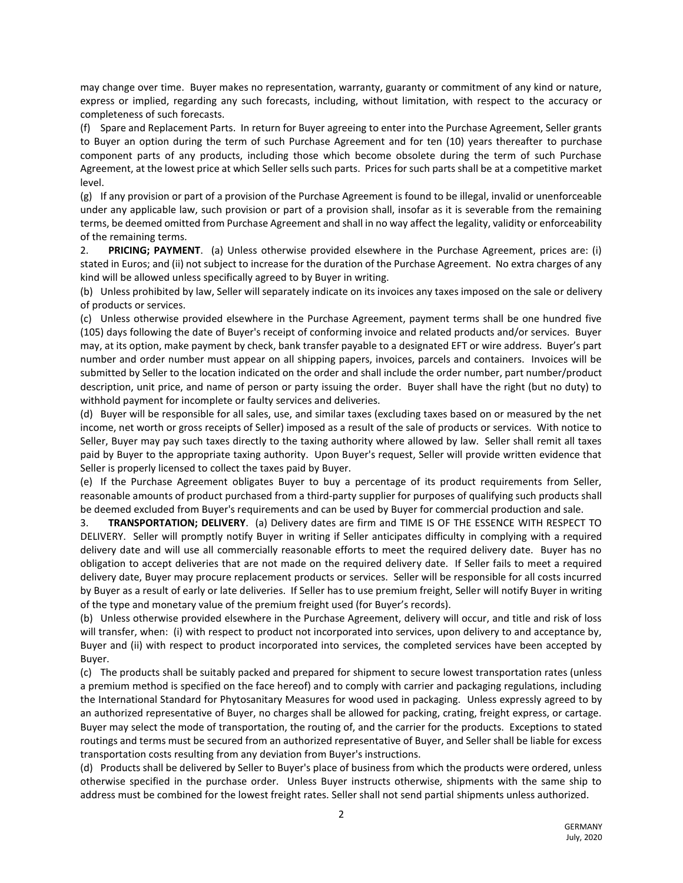may change over time. Buyer makes no representation, warranty, guaranty or commitment of any kind or nature, express or implied, regarding any such forecasts, including, without limitation, with respect to the accuracy or completeness of such forecasts.

(f) Spare and Replacement Parts. In return for Buyer agreeing to enter into the Purchase Agreement, Seller grants to Buyer an option during the term of such Purchase Agreement and for ten (10) years thereafter to purchase component parts of any products, including those which become obsolete during the term of such Purchase Agreement, at the lowest price at which Seller sells such parts. Prices for such parts shall be at a competitive market level.

(g) If any provision or part of a provision of the Purchase Agreement is found to be illegal, invalid or unenforceable under any applicable law, such provision or part of a provision shall, insofar as it is severable from the remaining terms, be deemed omitted from Purchase Agreement and shall in no way affect the legality, validity or enforceability of the remaining terms.

2. **PRICING; PAYMENT**. (a) Unless otherwise provided elsewhere in the Purchase Agreement, prices are: (i) stated in Euros; and (ii) not subject to increase for the duration of the Purchase Agreement. No extra charges of any kind will be allowed unless specifically agreed to by Buyer in writing.

(b) Unless prohibited by law, Seller will separately indicate on its invoices any taxes imposed on the sale or delivery of products or services.

(c) Unless otherwise provided elsewhere in the Purchase Agreement, payment terms shall be one hundred five (105) days following the date of Buyer's receipt of conforming invoice and related products and/or services. Buyer may, at its option, make payment by check, bank transfer payable to a designated EFT or wire address. Buyer's part number and order number must appear on all shipping papers, invoices, parcels and containers. Invoices will be submitted by Seller to the location indicated on the order and shall include the order number, part number/product description, unit price, and name of person or party issuing the order. Buyer shall have the right (but no duty) to withhold payment for incomplete or faulty services and deliveries.

(d) Buyer will be responsible for all sales, use, and similar taxes (excluding taxes based on or measured by the net income, net worth or gross receipts of Seller) imposed as a result of the sale of products or services. With notice to Seller, Buyer may pay such taxes directly to the taxing authority where allowed by law. Seller shall remit all taxes paid by Buyer to the appropriate taxing authority. Upon Buyer's request, Seller will provide written evidence that Seller is properly licensed to collect the taxes paid by Buyer.

(e) If the Purchase Agreement obligates Buyer to buy a percentage of its product requirements from Seller, reasonable amounts of product purchased from a third-party supplier for purposes of qualifying such products shall be deemed excluded from Buyer's requirements and can be used by Buyer for commercial production and sale.

3. **TRANSPORTATION; DELIVERY**. (a) Delivery dates are firm and TIME IS OF THE ESSENCE WITH RESPECT TO DELIVERY. Seller will promptly notify Buyer in writing if Seller anticipates difficulty in complying with a required delivery date and will use all commercially reasonable efforts to meet the required delivery date. Buyer has no obligation to accept deliveries that are not made on the required delivery date. If Seller fails to meet a required delivery date, Buyer may procure replacement products or services. Seller will be responsible for all costs incurred by Buyer as a result of early or late deliveries. If Seller has to use premium freight, Seller will notify Buyer in writing of the type and monetary value of the premium freight used (for Buyer's records).

(b) Unless otherwise provided elsewhere in the Purchase Agreement, delivery will occur, and title and risk of loss will transfer, when: (i) with respect to product not incorporated into services, upon delivery to and acceptance by, Buyer and (ii) with respect to product incorporated into services, the completed services have been accepted by Buyer.

(c) The products shall be suitably packed and prepared for shipment to secure lowest transportation rates (unless a premium method is specified on the face hereof) and to comply with carrier and packaging regulations, including the International Standard for Phytosanitary Measures for wood used in packaging. Unless expressly agreed to by an authorized representative of Buyer, no charges shall be allowed for packing, crating, freight express, or cartage. Buyer may select the mode of transportation, the routing of, and the carrier for the products. Exceptions to stated routings and terms must be secured from an authorized representative of Buyer, and Seller shall be liable for excess transportation costs resulting from any deviation from Buyer's instructions.

(d) Products shall be delivered by Seller to Buyer's place of business from which the products were ordered, unless otherwise specified in the purchase order. Unless Buyer instructs otherwise, shipments with the same ship to address must be combined for the lowest freight rates. Seller shall not send partial shipments unless authorized.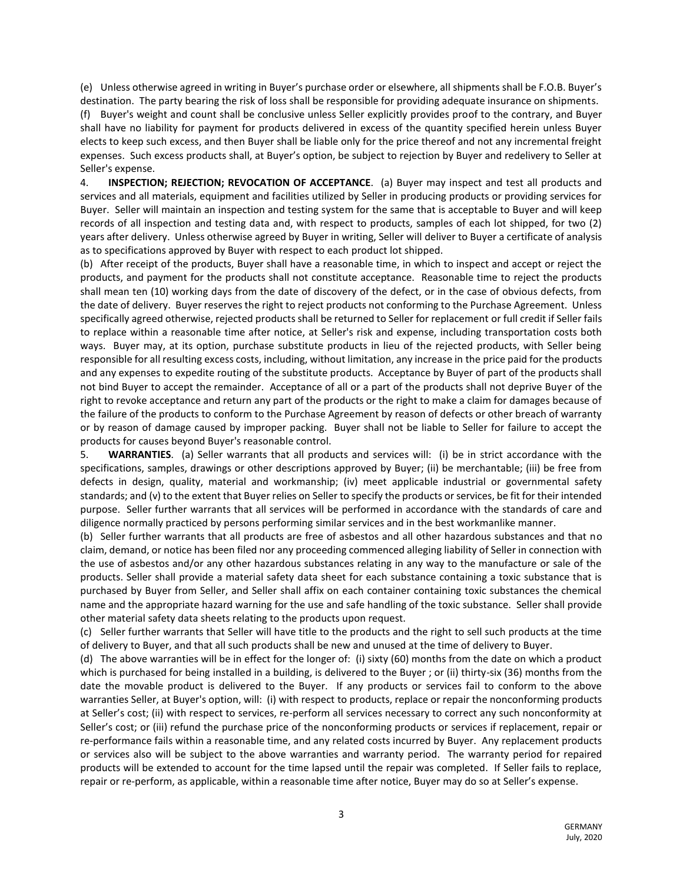(e) Unless otherwise agreed in writing in Buyer's purchase order or elsewhere, all shipments shall be F.O.B. Buyer's destination. The party bearing the risk of loss shall be responsible for providing adequate insurance on shipments.

(f) Buyer's weight and count shall be conclusive unless Seller explicitly provides proof to the contrary, and Buyer shall have no liability for payment for products delivered in excess of the quantity specified herein unless Buyer elects to keep such excess, and then Buyer shall be liable only for the price thereof and not any incremental freight expenses. Such excess products shall, at Buyer's option, be subject to rejection by Buyer and redelivery to Seller at Seller's expense.

4. **INSPECTION; REJECTION; REVOCATION OF ACCEPTANCE**. (a) Buyer may inspect and test all products and services and all materials, equipment and facilities utilized by Seller in producing products or providing services for Buyer. Seller will maintain an inspection and testing system for the same that is acceptable to Buyer and will keep records of all inspection and testing data and, with respect to products, samples of each lot shipped, for two (2) years after delivery. Unless otherwise agreed by Buyer in writing, Seller will deliver to Buyer a certificate of analysis as to specifications approved by Buyer with respect to each product lot shipped.

(b) After receipt of the products, Buyer shall have a reasonable time, in which to inspect and accept or reject the products, and payment for the products shall not constitute acceptance. Reasonable time to reject the products shall mean ten (10) working days from the date of discovery of the defect, or in the case of obvious defects, from the date of delivery. Buyer reserves the right to reject products not conforming to the Purchase Agreement. Unless specifically agreed otherwise, rejected products shall be returned to Seller for replacement or full credit if Seller fails to replace within a reasonable time after notice, at Seller's risk and expense, including transportation costs both ways. Buyer may, at its option, purchase substitute products in lieu of the rejected products, with Seller being responsible for all resulting excess costs, including, without limitation, any increase in the price paid for the products and any expenses to expedite routing of the substitute products. Acceptance by Buyer of part of the products shall not bind Buyer to accept the remainder. Acceptance of all or a part of the products shall not deprive Buyer of the right to revoke acceptance and return any part of the products or the right to make a claim for damages because of the failure of the products to conform to the Purchase Agreement by reason of defects or other breach of warranty or by reason of damage caused by improper packing. Buyer shall not be liable to Seller for failure to accept the products for causes beyond Buyer's reasonable control.

5. **WARRANTIES**. (a) Seller warrants that all products and services will: (i) be in strict accordance with the specifications, samples, drawings or other descriptions approved by Buyer; (ii) be merchantable; (iii) be free from defects in design, quality, material and workmanship; (iv) meet applicable industrial or governmental safety standards; and (v) to the extent that Buyer relies on Seller to specify the products or services, be fit for their intended purpose. Seller further warrants that all services will be performed in accordance with the standards of care and diligence normally practiced by persons performing similar services and in the best workmanlike manner.

(b) Seller further warrants that all products are free of asbestos and all other hazardous substances and that no claim, demand, or notice has been filed nor any proceeding commenced alleging liability of Seller in connection with the use of asbestos and/or any other hazardous substances relating in any way to the manufacture or sale of the products. Seller shall provide a material safety data sheet for each substance containing a toxic substance that is purchased by Buyer from Seller, and Seller shall affix on each container containing toxic substances the chemical name and the appropriate hazard warning for the use and safe handling of the toxic substance. Seller shall provide other material safety data sheets relating to the products upon request.

(c) Seller further warrants that Seller will have title to the products and the right to sell such products at the time of delivery to Buyer, and that all such products shall be new and unused at the time of delivery to Buyer.

(d) The above warranties will be in effect for the longer of: (i) sixty (60) months from the date on which a product which is purchased for being installed in a building, is delivered to the Buyer ; or (ii) thirty-six (36) months from the date the movable product is delivered to the Buyer. If any products or services fail to conform to the above warranties Seller, at Buyer's option, will: (i) with respect to products, replace or repair the nonconforming products at Seller's cost; (ii) with respect to services, re-perform all services necessary to correct any such nonconformity at Seller's cost; or (iii) refund the purchase price of the nonconforming products or services if replacement, repair or re-performance fails within a reasonable time, and any related costs incurred by Buyer. Any replacement products or services also will be subject to the above warranties and warranty period. The warranty period for repaired products will be extended to account for the time lapsed until the repair was completed. If Seller fails to replace, repair or re-perform, as applicable, within a reasonable time after notice, Buyer may do so at Seller's expense.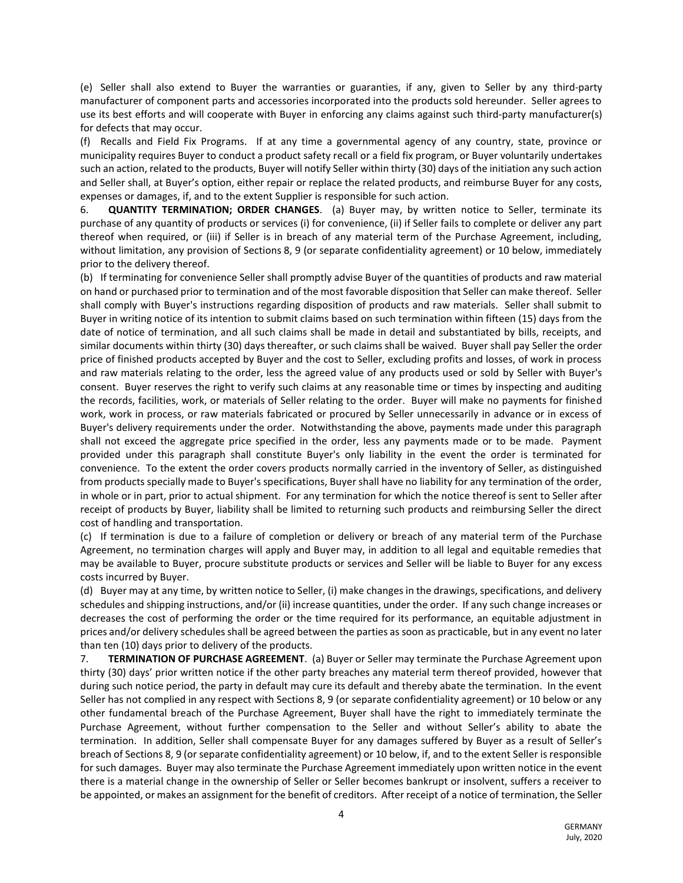(e) Seller shall also extend to Buyer the warranties or guaranties, if any, given to Seller by any third-party manufacturer of component parts and accessories incorporated into the products sold hereunder. Seller agrees to use its best efforts and will cooperate with Buyer in enforcing any claims against such third-party manufacturer(s) for defects that may occur.

(f) Recalls and Field Fix Programs. If at any time a governmental agency of any country, state, province or municipality requires Buyer to conduct a product safety recall or a field fix program, or Buyer voluntarily undertakes such an action, related to the products, Buyer will notify Seller within thirty (30) days of the initiation any such action and Seller shall, at Buyer's option, either repair or replace the related products, and reimburse Buyer for any costs, expenses or damages, if, and to the extent Supplier is responsible for such action.

6. **QUANTITY TERMINATION; ORDER CHANGES**. (a) Buyer may, by written notice to Seller, terminate its purchase of any quantity of products or services (i) for convenience, (ii) if Seller fails to complete or deliver any part thereof when required, or (iii) if Seller is in breach of any material term of the Purchase Agreement, including, without limitation, any provision of Sections 8, 9 (or separate confidentiality agreement) or 10 below, immediately prior to the delivery thereof.

(b) If terminating for convenience Seller shall promptly advise Buyer of the quantities of products and raw material on hand or purchased prior to termination and of the most favorable disposition that Seller can make thereof. Seller shall comply with Buyer's instructions regarding disposition of products and raw materials. Seller shall submit to Buyer in writing notice of its intention to submit claims based on such termination within fifteen (15) days from the date of notice of termination, and all such claims shall be made in detail and substantiated by bills, receipts, and similar documents within thirty (30) days thereafter, or such claims shall be waived. Buyer shall pay Seller the order price of finished products accepted by Buyer and the cost to Seller, excluding profits and losses, of work in process and raw materials relating to the order, less the agreed value of any products used or sold by Seller with Buyer's consent. Buyer reserves the right to verify such claims at any reasonable time or times by inspecting and auditing the records, facilities, work, or materials of Seller relating to the order. Buyer will make no payments for finished work, work in process, or raw materials fabricated or procured by Seller unnecessarily in advance or in excess of Buyer's delivery requirements under the order. Notwithstanding the above, payments made under this paragraph shall not exceed the aggregate price specified in the order, less any payments made or to be made. Payment provided under this paragraph shall constitute Buyer's only liability in the event the order is terminated for convenience. To the extent the order covers products normally carried in the inventory of Seller, as distinguished from products specially made to Buyer's specifications, Buyer shall have no liability for any termination of the order, in whole or in part, prior to actual shipment. For any termination for which the notice thereof is sent to Seller after receipt of products by Buyer, liability shall be limited to returning such products and reimbursing Seller the direct cost of handling and transportation.

(c) If termination is due to a failure of completion or delivery or breach of any material term of the Purchase Agreement, no termination charges will apply and Buyer may, in addition to all legal and equitable remedies that may be available to Buyer, procure substitute products or services and Seller will be liable to Buyer for any excess costs incurred by Buyer.

(d) Buyer may at any time, by written notice to Seller, (i) make changes in the drawings, specifications, and delivery schedules and shipping instructions, and/or (ii) increase quantities, under the order. If any such change increases or decreases the cost of performing the order or the time required for its performance, an equitable adjustment in prices and/or delivery schedules shall be agreed between the parties as soon as practicable, but in any event no later than ten (10) days prior to delivery of the products.

7. **TERMINATION OF PURCHASE AGREEMENT**. (a) Buyer or Seller may terminate the Purchase Agreement upon thirty (30) days' prior written notice if the other party breaches any material term thereof provided, however that during such notice period, the party in default may cure its default and thereby abate the termination. In the event Seller has not complied in any respect with Sections 8, 9 (or separate confidentiality agreement) or 10 below or any other fundamental breach of the Purchase Agreement, Buyer shall have the right to immediately terminate the Purchase Agreement, without further compensation to the Seller and without Seller's ability to abate the termination. In addition, Seller shall compensate Buyer for any damages suffered by Buyer as a result of Seller's breach of Sections 8, 9 (or separate confidentiality agreement) or 10 below, if, and to the extent Seller is responsible for such damages. Buyer may also terminate the Purchase Agreement immediately upon written notice in the event there is a material change in the ownership of Seller or Seller becomes bankrupt or insolvent, suffers a receiver to be appointed, or makes an assignment for the benefit of creditors. After receipt of a notice of termination, the Seller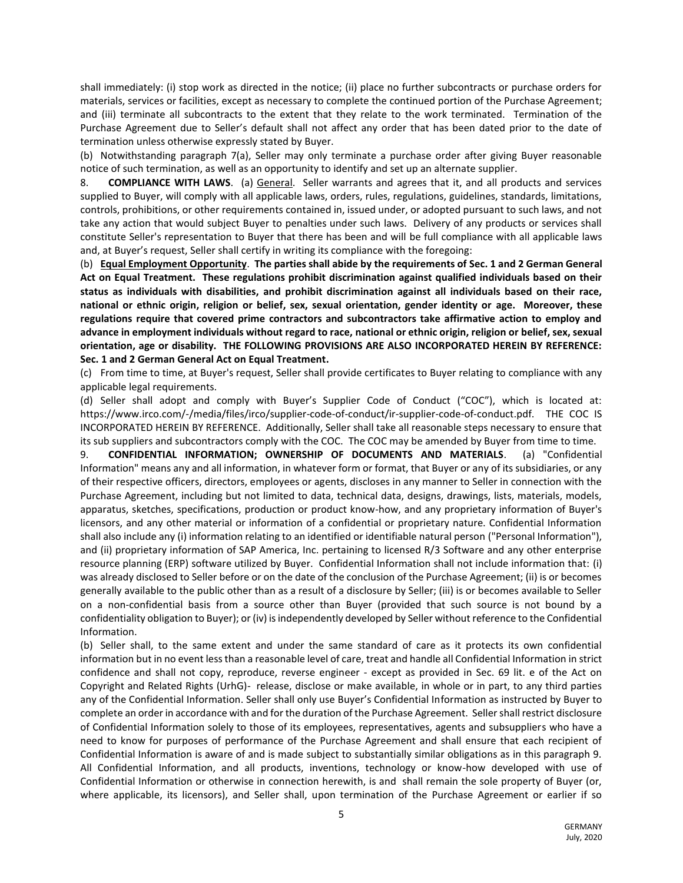shall immediately: (i) stop work as directed in the notice; (ii) place no further subcontracts or purchase orders for materials, services or facilities, except as necessary to complete the continued portion of the Purchase Agreement; and (iii) terminate all subcontracts to the extent that they relate to the work terminated. Termination of the Purchase Agreement due to Seller's default shall not affect any order that has been dated prior to the date of termination unless otherwise expressly stated by Buyer.

(b) Notwithstanding paragraph 7(a), Seller may only terminate a purchase order after giving Buyer reasonable notice of such termination, as well as an opportunity to identify and set up an alternate supplier.

8. **COMPLIANCE WITH LAWS**. (a) General. Seller warrants and agrees that it, and all products and services supplied to Buyer, will comply with all applicable laws, orders, rules, regulations, guidelines, standards, limitations, controls, prohibitions, or other requirements contained in, issued under, or adopted pursuant to such laws, and not take any action that would subject Buyer to penalties under such laws. Delivery of any products or services shall constitute Seller's representation to Buyer that there has been and will be full compliance with all applicable laws and, at Buyer's request, Seller shall certify in writing its compliance with the foregoing:

(b) **Equal Employment Opportunity**. **The parties shall abide by the requirements of Sec. 1 and 2 German General Act on Equal Treatment. These regulations prohibit discrimination against qualified individuals based on their status as individuals with disabilities, and prohibit discrimination against all individuals based on their race, national or ethnic origin, religion or belief, sex, sexual orientation, gender identity or age. Moreover, these regulations require that covered prime contractors and subcontractors take affirmative action to employ and advance in employment individuals without regard to race, national or ethnic origin, religion or belief, sex, sexual orientation, age or disability. THE FOLLOWING PROVISIONS ARE ALSO INCORPORATED HEREIN BY REFERENCE: Sec. 1 and 2 German General Act on Equal Treatment.**

(c) From time to time, at Buyer's request, Seller shall provide certificates to Buyer relating to compliance with any applicable legal requirements.

(d) Seller shall adopt and comply with Buyer's Supplier Code of Conduct ("COC"), which is located at: https://www.irco.com/-/media/files/irco/supplier-code-of-conduct/ir-supplier-code-of-conduct.pdf. THE COC IS INCORPORATED HEREIN BY REFERENCE. Additionally, Seller shall take all reasonable steps necessary to ensure that its sub suppliers and subcontractors comply with the COC. The COC may be amended by Buyer from time to time.

9. **CONFIDENTIAL INFORMATION; OWNERSHIP OF DOCUMENTS AND MATERIALS**. (a) "Confidential Information" means any and all information, in whatever form or format, that Buyer or any of its subsidiaries, or any of their respective officers, directors, employees or agents, discloses in any manner to Seller in connection with the Purchase Agreement, including but not limited to data, technical data, designs, drawings, lists, materials, models, apparatus, sketches, specifications, production or product know-how, and any proprietary information of Buyer's licensors, and any other material or information of a confidential or proprietary nature. Confidential Information shall also include any (i) information relating to an identified or identifiable natural person ("Personal Information"), and (ii) proprietary information of SAP America, Inc. pertaining to licensed R/3 Software and any other enterprise resource planning (ERP) software utilized by Buyer. Confidential Information shall not include information that: (i) was already disclosed to Seller before or on the date of the conclusion of the Purchase Agreement; (ii) is or becomes generally available to the public other than as a result of a disclosure by Seller; (iii) is or becomes available to Seller on a non-confidential basis from a source other than Buyer (provided that such source is not bound by a confidentiality obligation to Buyer); or (iv) is independently developed by Seller without reference to the Confidential Information.

(b) Seller shall, to the same extent and under the same standard of care as it protects its own confidential information but in no event less than a reasonable level of care, treat and handle all Confidential Information in strict confidence and shall not copy, reproduce, reverse engineer - except as provided in Sec. 69 lit. e of the Act on Copyright and Related Rights (UrhG)- release, disclose or make available, in whole or in part, to any third parties any of the Confidential Information. Seller shall only use Buyer's Confidential Information as instructed by Buyer to complete an order in accordance with and for the duration of the Purchase Agreement. Seller shall restrict disclosure of Confidential Information solely to those of its employees, representatives, agents and subsuppliers who have a need to know for purposes of performance of the Purchase Agreement and shall ensure that each recipient of Confidential Information is aware of and is made subject to substantially similar obligations as in this paragraph 9. All Confidential Information, and all products, inventions, technology or know-how developed with use of Confidential Information or otherwise in connection herewith, is and shall remain the sole property of Buyer (or, where applicable, its licensors), and Seller shall, upon termination of the Purchase Agreement or earlier if so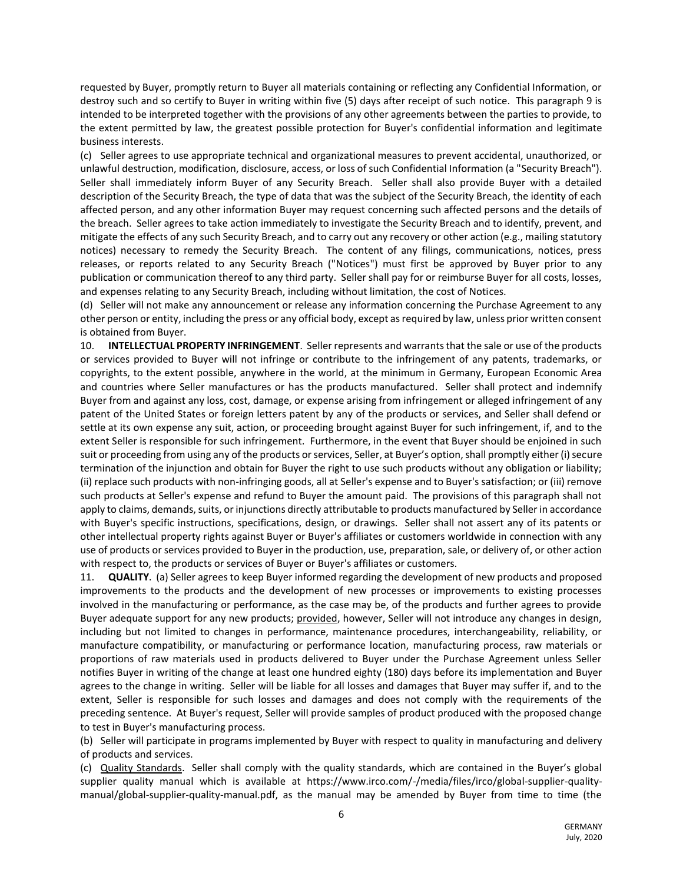requested by Buyer, promptly return to Buyer all materials containing or reflecting any Confidential Information, or destroy such and so certify to Buyer in writing within five (5) days after receipt of such notice. This paragraph 9 is intended to be interpreted together with the provisions of any other agreements between the parties to provide, to the extent permitted by law, the greatest possible protection for Buyer's confidential information and legitimate business interests.

(c) Seller agrees to use appropriate technical and organizational measures to prevent accidental, unauthorized, or unlawful destruction, modification, disclosure, access, or loss of such Confidential Information (a "Security Breach"). Seller shall immediately inform Buyer of any Security Breach. Seller shall also provide Buyer with a detailed description of the Security Breach, the type of data that was the subject of the Security Breach, the identity of each affected person, and any other information Buyer may request concerning such affected persons and the details of the breach. Seller agrees to take action immediately to investigate the Security Breach and to identify, prevent, and mitigate the effects of any such Security Breach, and to carry out any recovery or other action (e.g., mailing statutory notices) necessary to remedy the Security Breach. The content of any filings, communications, notices, press releases, or reports related to any Security Breach ("Notices") must first be approved by Buyer prior to any publication or communication thereof to any third party. Seller shall pay for or reimburse Buyer for all costs, losses, and expenses relating to any Security Breach, including without limitation, the cost of Notices.

(d) Seller will not make any announcement or release any information concerning the Purchase Agreement to any other person or entity, including the press or any official body, except as required by law, unless prior written consent is obtained from Buyer.

10. **INTELLECTUAL PROPERTY INFRINGEMENT**. Seller represents and warrants that the sale or use of the products or services provided to Buyer will not infringe or contribute to the infringement of any patents, trademarks, or copyrights, to the extent possible, anywhere in the world, at the minimum in Germany, European Economic Area and countries where Seller manufactures or has the products manufactured. Seller shall protect and indemnify Buyer from and against any loss, cost, damage, or expense arising from infringement or alleged infringement of any patent of the United States or foreign letters patent by any of the products or services, and Seller shall defend or settle at its own expense any suit, action, or proceeding brought against Buyer for such infringement, if, and to the extent Seller is responsible for such infringement. Furthermore, in the event that Buyer should be enjoined in such suit or proceeding from using any of the products or services, Seller, at Buyer's option, shall promptly either (i) secure termination of the injunction and obtain for Buyer the right to use such products without any obligation or liability; (ii) replace such products with non-infringing goods, all at Seller's expense and to Buyer's satisfaction; or (iii) remove such products at Seller's expense and refund to Buyer the amount paid. The provisions of this paragraph shall not apply to claims, demands, suits, or injunctions directly attributable to products manufactured by Seller in accordance with Buyer's specific instructions, specifications, design, or drawings. Seller shall not assert any of its patents or other intellectual property rights against Buyer or Buyer's affiliates or customers worldwide in connection with any use of products or services provided to Buyer in the production, use, preparation, sale, or delivery of, or other action with respect to, the products or services of Buyer or Buyer's affiliates or customers.

11. **QUALITY**. (a) Seller agrees to keep Buyer informed regarding the development of new products and proposed improvements to the products and the development of new processes or improvements to existing processes involved in the manufacturing or performance, as the case may be, of the products and further agrees to provide Buyer adequate support for any new products; provided, however, Seller will not introduce any changes in design, including but not limited to changes in performance, maintenance procedures, interchangeability, reliability, or manufacture compatibility, or manufacturing or performance location, manufacturing process, raw materials or proportions of raw materials used in products delivered to Buyer under the Purchase Agreement unless Seller notifies Buyer in writing of the change at least one hundred eighty (180) days before its implementation and Buyer agrees to the change in writing. Seller will be liable for all losses and damages that Buyer may suffer if, and to the extent, Seller is responsible for such losses and damages and does not comply with the requirements of the preceding sentence. At Buyer's request, Seller will provide samples of product produced with the proposed change to test in Buyer's manufacturing process.

(b) Seller will participate in programs implemented by Buyer with respect to quality in manufacturing and delivery of products and services.

(c) Quality Standards. Seller shall comply with the quality standards, which are contained in the Buyer's global supplier quality manual which is available at https://www.irco.com/-/media/files/irco/global-supplier-qualitymanual/global-supplier-quality-manual.pdf, as the manual may be amended by Buyer from time to time (the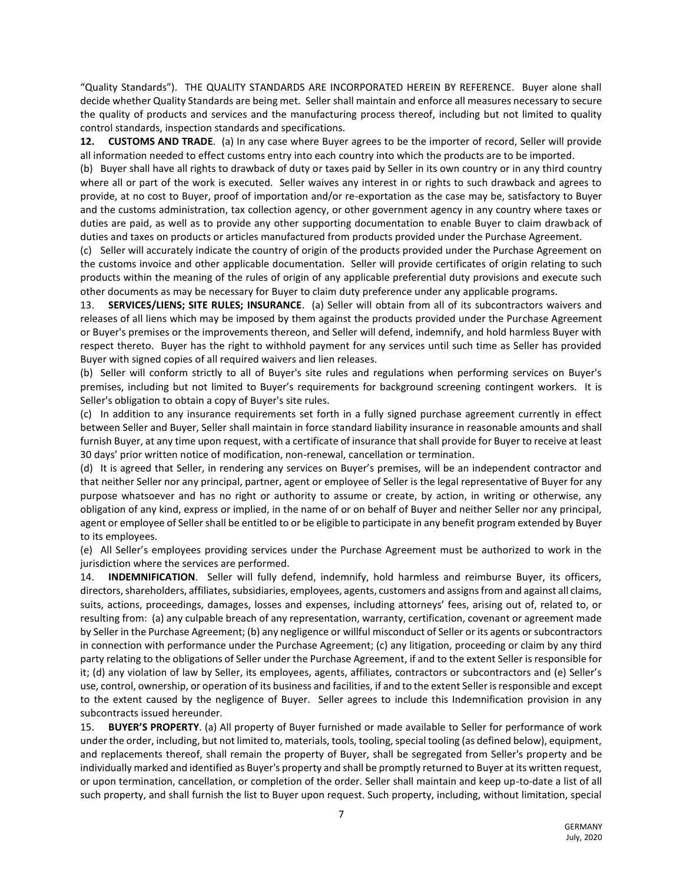"Quality Standards"). THE QUALITY STANDARDS ARE INCORPORATED HEREIN BY REFERENCE. Buyer alone shall decide whether Quality Standards are being met. Seller shall maintain and enforce all measures necessary to secure the quality of products and services and the manufacturing process thereof, including but not limited to quality control standards, inspection standards and specifications.

**12. CUSTOMS AND TRADE**. (a) In any case where Buyer agrees to be the importer of record, Seller will provide all information needed to effect customs entry into each country into which the products are to be imported.

(b) Buyer shall have all rights to drawback of duty or taxes paid by Seller in its own country or in any third country where all or part of the work is executed. Seller waives any interest in or rights to such drawback and agrees to provide, at no cost to Buyer, proof of importation and/or re-exportation as the case may be, satisfactory to Buyer and the customs administration, tax collection agency, or other government agency in any country where taxes or duties are paid, as well as to provide any other supporting documentation to enable Buyer to claim drawback of duties and taxes on products or articles manufactured from products provided under the Purchase Agreement.

(c) Seller will accurately indicate the country of origin of the products provided under the Purchase Agreement on the customs invoice and other applicable documentation. Seller will provide certificates of origin relating to such products within the meaning of the rules of origin of any applicable preferential duty provisions and execute such other documents as may be necessary for Buyer to claim duty preference under any applicable programs.

13. **SERVICES/LIENS; SITE RULES; INSURANCE**. (a) Seller will obtain from all of its subcontractors waivers and releases of all liens which may be imposed by them against the products provided under the Purchase Agreement or Buyer's premises or the improvements thereon, and Seller will defend, indemnify, and hold harmless Buyer with respect thereto. Buyer has the right to withhold payment for any services until such time as Seller has provided Buyer with signed copies of all required waivers and lien releases.

(b) Seller will conform strictly to all of Buyer's site rules and regulations when performing services on Buyer's premises, including but not limited to Buyer's requirements for background screening contingent workers. It is Seller's obligation to obtain a copy of Buyer's site rules.

(c) In addition to any insurance requirements set forth in a fully signed purchase agreement currently in effect between Seller and Buyer, Seller shall maintain in force standard liability insurance in reasonable amounts and shall furnish Buyer, at any time upon request, with a certificate of insurance that shall provide for Buyer to receive at least 30 days' prior written notice of modification, non-renewal, cancellation or termination.

(d) It is agreed that Seller, in rendering any services on Buyer's premises, will be an independent contractor and that neither Seller nor any principal, partner, agent or employee of Seller is the legal representative of Buyer for any purpose whatsoever and has no right or authority to assume or create, by action, in writing or otherwise, any obligation of any kind, express or implied, in the name of or on behalf of Buyer and neither Seller nor any principal, agent or employee of Seller shall be entitled to or be eligible to participate in any benefit program extended by Buyer to its employees.

(e) All Seller's employees providing services under the Purchase Agreement must be authorized to work in the jurisdiction where the services are performed.

14. **INDEMNIFICATION**. Seller will fully defend, indemnify, hold harmless and reimburse Buyer, its officers, directors, shareholders, affiliates, subsidiaries, employees, agents, customers and assigns from and against all claims, suits, actions, proceedings, damages, losses and expenses, including attorneys' fees, arising out of, related to, or resulting from: (a) any culpable breach of any representation, warranty, certification, covenant or agreement made by Seller in the Purchase Agreement; (b) any negligence or willful misconduct of Seller or its agents or subcontractors in connection with performance under the Purchase Agreement; (c) any litigation, proceeding or claim by any third party relating to the obligations of Seller under the Purchase Agreement, if and to the extent Seller is responsible for it; (d) any violation of law by Seller, its employees, agents, affiliates, contractors or subcontractors and (e) Seller's use, control, ownership, or operation of its business and facilities, if and to the extent Seller is responsible and except to the extent caused by the negligence of Buyer. Seller agrees to include this Indemnification provision in any subcontracts issued hereunder.

15. **BUYER'S PROPERTY**. (a) All property of Buyer furnished or made available to Seller for performance of work under the order, including, but not limited to, materials, tools, tooling, special tooling (as defined below), equipment, and replacements thereof, shall remain the property of Buyer, shall be segregated from Seller's property and be individually marked and identified as Buyer's property and shall be promptly returned to Buyer at its written request, or upon termination, cancellation, or completion of the order. Seller shall maintain and keep up-to-date a list of all such property, and shall furnish the list to Buyer upon request. Such property, including, without limitation, special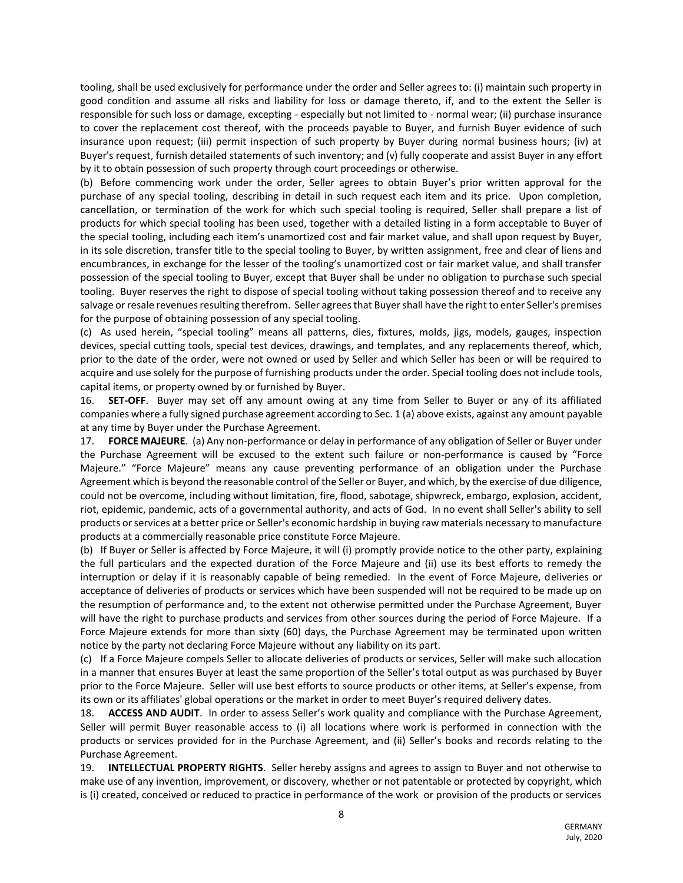tooling, shall be used exclusively for performance under the order and Seller agrees to: (i) maintain such property in good condition and assume all risks and liability for loss or damage thereto, if, and to the extent the Seller is responsible for such loss or damage, excepting - especially but not limited to - normal wear; (ii) purchase insurance to cover the replacement cost thereof, with the proceeds payable to Buyer, and furnish Buyer evidence of such insurance upon request; (iii) permit inspection of such property by Buyer during normal business hours; (iv) at Buyer's request, furnish detailed statements of such inventory; and (v) fully cooperate and assist Buyer in any effort by it to obtain possession of such property through court proceedings or otherwise.

(b) Before commencing work under the order, Seller agrees to obtain Buyer's prior written approval for the purchase of any special tooling, describing in detail in such request each item and its price. Upon completion, cancellation, or termination of the work for which such special tooling is required, Seller shall prepare a list of products for which special tooling has been used, together with a detailed listing in a form acceptable to Buyer of the special tooling, including each item's unamortized cost and fair market value, and shall upon request by Buyer, in its sole discretion, transfer title to the special tooling to Buyer, by written assignment, free and clear of liens and encumbrances, in exchange for the lesser of the tooling's unamortized cost or fair market value, and shall transfer possession of the special tooling to Buyer, except that Buyer shall be under no obligation to purchase such special tooling. Buyer reserves the right to dispose of special tooling without taking possession thereof and to receive any salvage or resale revenues resulting therefrom. Seller agrees that Buyer shall have the right to enter Seller's premises for the purpose of obtaining possession of any special tooling.

(c) As used herein, "special tooling" means all patterns, dies, fixtures, molds, jigs, models, gauges, inspection devices, special cutting tools, special test devices, drawings, and templates, and any replacements thereof, which, prior to the date of the order, were not owned or used by Seller and which Seller has been or will be required to acquire and use solely for the purpose of furnishing products under the order. Special tooling does not include tools, capital items, or property owned by or furnished by Buyer.

16. **SET-OFF**. Buyer may set off any amount owing at any time from Seller to Buyer or any of its affiliated companies where a fully signed purchase agreement according to Sec. 1 (a) above exists, against any amount payable at any time by Buyer under the Purchase Agreement.

17. **FORCE MAJEURE**. (a) Any non-performance or delay in performance of any obligation of Seller or Buyer under the Purchase Agreement will be excused to the extent such failure or non-performance is caused by "Force Majeure." "Force Majeure" means any cause preventing performance of an obligation under the Purchase Agreement which is beyond the reasonable control of the Seller or Buyer, and which, by the exercise of due diligence, could not be overcome, including without limitation, fire, flood, sabotage, shipwreck, embargo, explosion, accident, riot, epidemic, pandemic, acts of a governmental authority, and acts of God. In no event shall Seller's ability to sell products or services at a better price or Seller's economic hardship in buying raw materials necessary to manufacture products at a commercially reasonable price constitute Force Majeure.

(b) If Buyer or Seller is affected by Force Majeure, it will (i) promptly provide notice to the other party, explaining the full particulars and the expected duration of the Force Majeure and (ii) use its best efforts to remedy the interruption or delay if it is reasonably capable of being remedied. In the event of Force Majeure, deliveries or acceptance of deliveries of products or services which have been suspended will not be required to be made up on the resumption of performance and, to the extent not otherwise permitted under the Purchase Agreement, Buyer will have the right to purchase products and services from other sources during the period of Force Majeure. If a Force Majeure extends for more than sixty (60) days, the Purchase Agreement may be terminated upon written notice by the party not declaring Force Majeure without any liability on its part.

(c) If a Force Majeure compels Seller to allocate deliveries of products or services, Seller will make such allocation in a manner that ensures Buyer at least the same proportion of the Seller's total output as was purchased by Buyer prior to the Force Majeure. Seller will use best efforts to source products or other items, at Seller's expense, from its own or its affiliates' global operations or the market in order to meet Buyer's required delivery dates.

18. **ACCESS AND AUDIT**. In order to assess Seller's work quality and compliance with the Purchase Agreement, Seller will permit Buyer reasonable access to (i) all locations where work is performed in connection with the products or services provided for in the Purchase Agreement, and (ii) Seller's books and records relating to the Purchase Agreement.

19. **INTELLECTUAL PROPERTY RIGHTS**. Seller hereby assigns and agrees to assign to Buyer and not otherwise to make use of any invention, improvement, or discovery, whether or not patentable or protected by copyright, which is (i) created, conceived or reduced to practice in performance of the work or provision of the products or services